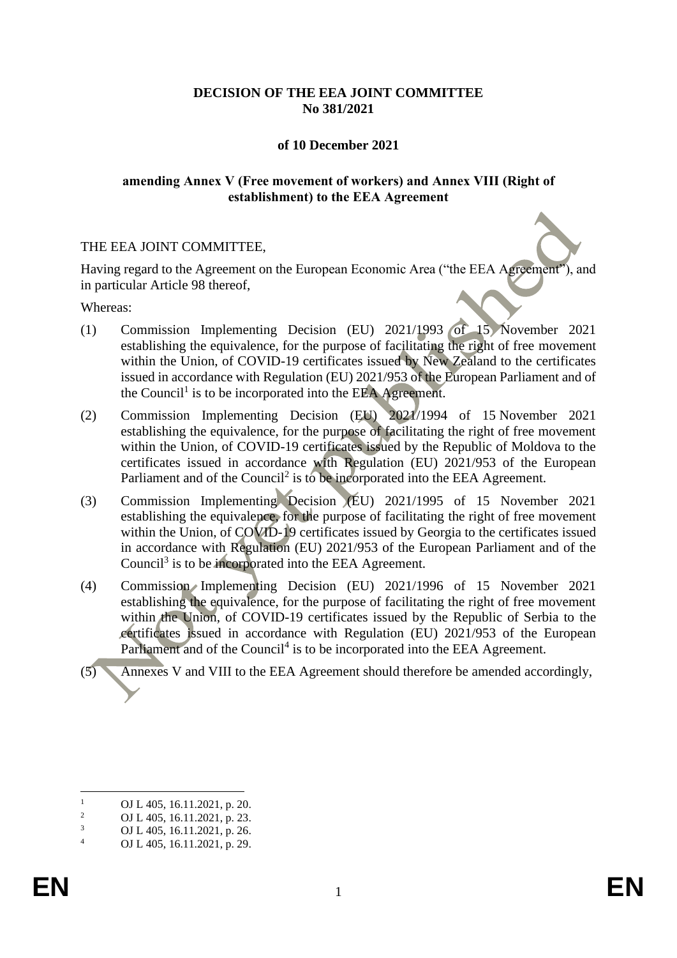# **DECISION OF THE EEA JOINT COMMITTEE No 381/2021**

## **of 10 December 2021**

## **amending Annex V (Free movement of workers) and Annex VIII (Right of establishment) to the EEA Agreement**

## THE EEA JOINT COMMITTEE,

Having regard to the Agreement on the European Economic Area ("the EEA Agreement"), and in particular Article 98 thereof,

Whereas:

- (1) Commission Implementing Decision (EU) 2021/1993 of 15 November 2021 establishing the equivalence, for the purpose of facilitating the right of free movement within the Union, of COVID-19 certificates issued by New Zealand to the certificates issued in accordance with Regulation (EU) 2021/953 of the European Parliament and of the Council<sup>1</sup> is to be incorporated into the EEA Agreement.
- (2) Commission Implementing Decision (EU) 2021/1994 of 15 November 2021 establishing the equivalence, for the purpose of facilitating the right of free movement within the Union, of COVID-19 certificates issued by the Republic of Moldova to the certificates issued in accordance with Regulation (EU) 2021/953 of the European Parliament and of the Council<sup>2</sup> is to be incorporated into the EEA Agreement.
- (3) Commission Implementing Decision (EU) 2021/1995 of 15 November 2021 establishing the equivalence, for the purpose of facilitating the right of free movement within the Union, of COVID-19 certificates issued by Georgia to the certificates issued in accordance with Regulation (EU) 2021/953 of the European Parliament and of the Council<sup>3</sup> is to be incorporated into the EEA Agreement.
- (4) Commission Implementing Decision (EU) 2021/1996 of 15 November 2021 establishing the equivalence, for the purpose of facilitating the right of free movement within the Union, of COVID-19 certificates issued by the Republic of Serbia to the certificates issued in accordance with Regulation (EU) 2021/953 of the European Parliament and of the Council<sup>4</sup> is to be incorporated into the EEA Agreement.
- (5) Annexes V and VIII to the EEA Agreement should therefore be amended accordingly,

 $\frac{1}{2}$  OJ L 405, 16.11.2021, p. 20.

<sup>&</sup>lt;sup>2</sup> OJ L 405, 16.11.2021, p. 23.<br><sup>3</sup> OJ L 405, 16.11.2021, p. 26.

 $\frac{3}{4}$  OJ L 405, 16.11.2021, p. 26.

OJ L 405, 16.11.2021, p. 29.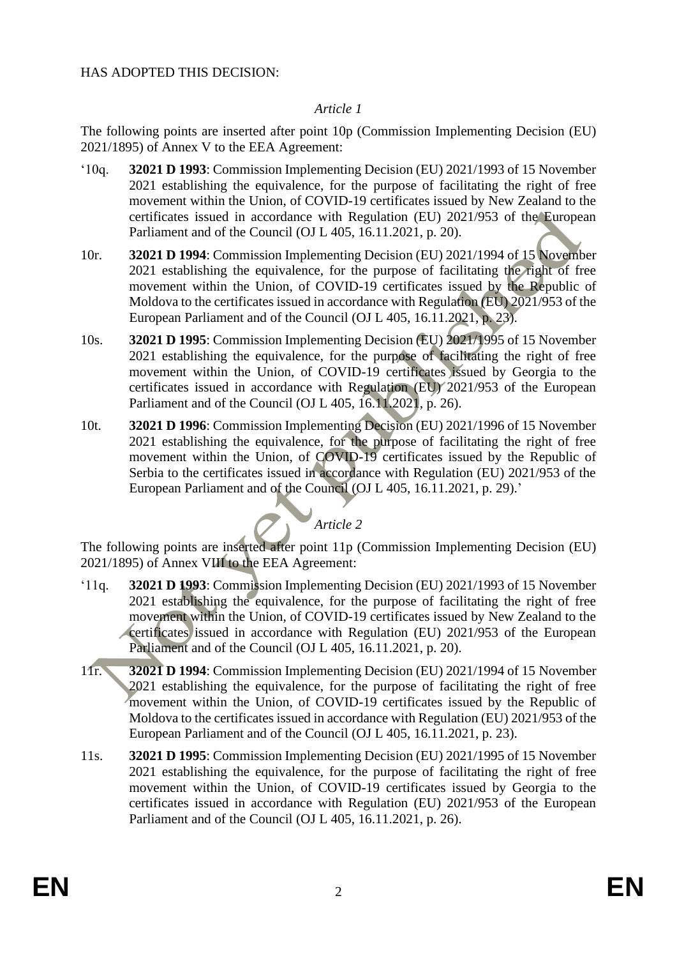# *Article 1*

The following points are inserted after point 10p (Commission Implementing Decision (EU) 2021/1895) of Annex V to the EEA Agreement:

- '10q. **32021 D 1993**: Commission Implementing Decision (EU) 2021/1993 of 15 November 2021 establishing the equivalence, for the purpose of facilitating the right of free movement within the Union, of COVID-19 certificates issued by New Zealand to the certificates issued in accordance with Regulation (EU) 2021/953 of the European Parliament and of the Council (OJ L 405, 16.11.2021, p. 20).
- 10r. **32021 D 1994**: Commission Implementing Decision (EU) 2021/1994 of 15 November 2021 establishing the equivalence, for the purpose of facilitating the right of free movement within the Union, of COVID-19 certificates issued by the Republic of Moldova to the certificates issued in accordance with Regulation (EU) 2021/953 of the European Parliament and of the Council (OJ L 405, 16.11.2021, p. 23).
- 10s. **32021 D 1995**: Commission Implementing Decision (EU) 2021/1995 of 15 November 2021 establishing the equivalence, for the purpose of facilitating the right of free movement within the Union, of COVID-19 certificates issued by Georgia to the certificates issued in accordance with Regulation (EU) 2021/953 of the European Parliament and of the Council (OJ L 405, 16.11.2021, p. 26).
- 10t. **32021 D 1996**: Commission Implementing Decision (EU) 2021/1996 of 15 November 2021 establishing the equivalence, for the purpose of facilitating the right of free movement within the Union, of COVID-19 certificates issued by the Republic of Serbia to the certificates issued in accordance with Regulation (EU) 2021/953 of the European Parliament and of the Council (OJ L 405, 16.11.2021, p. 29).'

# *Article 2*

The following points are inserted after point 11p (Commission Implementing Decision (EU) 2021/1895) of Annex VIII to the EEA Agreement:

- '11q. **32021 D 1993**: Commission Implementing Decision (EU) 2021/1993 of 15 November 2021 establishing the equivalence, for the purpose of facilitating the right of free movement within the Union, of COVID-19 certificates issued by New Zealand to the certificates issued in accordance with Regulation (EU) 2021/953 of the European Parliament and of the Council (OJ L 405, 16.11.2021, p. 20).
- 11r. **32021 D 1994**: Commission Implementing Decision (EU) 2021/1994 of 15 November 2021 establishing the equivalence, for the purpose of facilitating the right of free movement within the Union, of COVID-19 certificates issued by the Republic of Moldova to the certificates issued in accordance with Regulation (EU) 2021/953 of the European Parliament and of the Council (OJ L 405, 16.11.2021, p. 23).
- 11s. **32021 D 1995**: Commission Implementing Decision (EU) 2021/1995 of 15 November 2021 establishing the equivalence, for the purpose of facilitating the right of free movement within the Union, of COVID-19 certificates issued by Georgia to the certificates issued in accordance with Regulation (EU) 2021/953 of the European Parliament and of the Council (OJ L 405, 16.11.2021, p. 26).